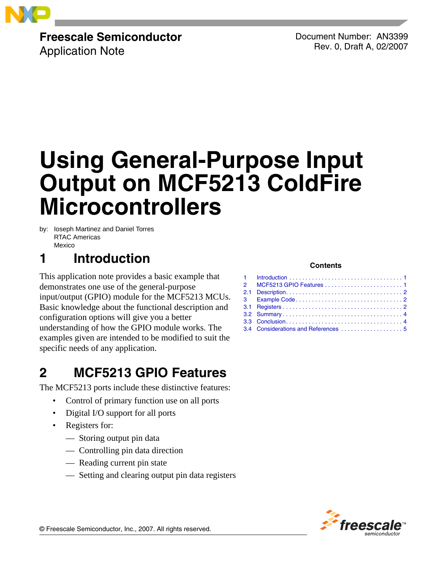

## **Freescale Semiconductor**

Application Note

Document Number: AN3399 Rev. 0, Draft A, 02/2007

# **Using General-Purpose Input Output on MCF5213 ColdFire Microcontrollers**

by: Ioseph Martinez and Daniel Torres RTAC Americas Mexico

## <span id="page-0-0"></span>**1 Introduction**

This application note provides a basic example that demonstrates one use of the general-purpose input/output (GPIO) module for the MCF5213 MCUs. Basic knowledge about the functional description and configuration options will give you a better understanding of how the GPIO module works. The examples given are intended to be modified to suit the specific needs of any application.

## <span id="page-0-1"></span>**2 MCF5213 GPIO Features**

The MCF5213 ports include these distinctive features:

- Control of primary function use on all ports
- Digital I/O support for all ports
- Registers for:
	- Storing output pin data
	- Controlling pin data direction
	- Reading current pin state
	- Setting and clearing output pin data registers

#### **Contents**



© Freescale Semiconductor, Inc., 2007. All rights reserved.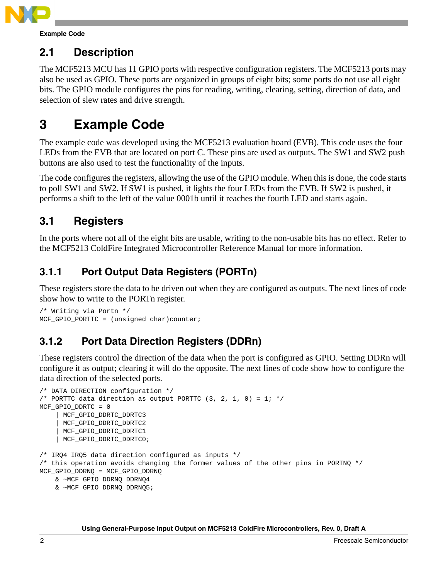

```
Example Code
```
## <span id="page-1-0"></span>**2.1 Description**

The MCF5213 MCU has 11 GPIO ports with respective configuration registers. The MCF5213 ports may also be used as GPIO. These ports are organized in groups of eight bits; some ports do not use all eight bits. The GPIO module configures the pins for reading, writing, clearing, setting, direction of data, and selection of slew rates and drive strength.

## <span id="page-1-1"></span>**3 Example Code**

The example code was developed using the MCF5213 evaluation board (EVB). This code uses the four LEDs from the EVB that are located on port C. These pins are used as outputs. The SW1 and SW2 push buttons are also used to test the functionality of the inputs.

The code configures the registers, allowing the use of the GPIO module. When this is done, the code starts to poll SW1 and SW2. If SW1 is pushed, it lights the four LEDs from the EVB. If SW2 is pushed, it performs a shift to the left of the value 0001b until it reaches the fourth LED and starts again.

## <span id="page-1-2"></span>**3.1 Registers**

[In the ports where not all of the eight bits are usable, writing to the non-usable bits has no effect. Refer to](http://www.freescale.com)  the MCF5213 ColdFire Integrated Microcontroller Reference Manual for more information.

## **3.1.1 Port Output Data Registers (PORTn)**

These registers store the data to be driven out when they are configured as outputs. The next lines of code show how to write to the PORTn register.

```
/* Writing via Portn */
MCF_GPIO_PORTTC = (unsigned char)counter;
```
## **3.1.2 Port Data Direction Registers (DDRn)**

These registers control the direction of the data when the port is configured as GPIO. Setting DDRn will configure it as output; clearing it will do the opposite. The next lines of code show how to configure the data direction of the selected ports.

```
/* DATA DIRECTION configuration */
/* PORTTC data direction as output PORTTC (3, 2, 1, 0) = 1; */
MCF_GPIO_DDRTC = 0
     | MCF_GPIO_DDRTC_DDRTC3
     | MCF_GPIO_DDRTC_DDRTC2
     | MCF_GPIO_DDRTC_DDRTC1
    | MCF_GPIO_DDRTC_DDRTC0;
/* IRQ4 IRQ5 data direction configured as inputs */ 
/* this operation avoids changing the former values of the other pins in PORTNQ */
MCF_GPIO_DDRNQ = MCF_GPIO_DDRNQ
    & ~MCF_GPIO_DDRNQ_DDRNQ4
     & ~MCF_GPIO_DDRNQ_DDRNQ5;
```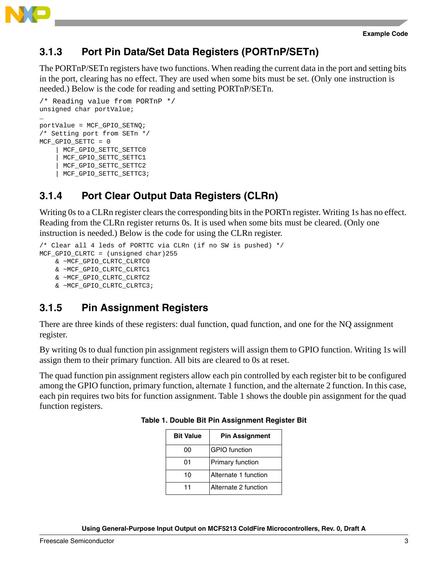

### **3.1.3 Port Pin Data/Set Data Registers (PORTnP/SETn)**

The PORTnP/SETn registers have two functions. When reading the current data in the port and setting bits in the port, clearing has no effect. They are used when some bits must be set. (Only one instruction is needed.) Below is the code for reading and setting PORTnP/SETn.

```
/* Reading value from PORTnP */
unsigned char portValue;
…
portValue = MCF_GPIO_SETNQ;
/* Setting port from SETn */
MCF_GPIO_SETTC = 0
     | MCF_GPIO_SETTC_SETTC0
     | MCF_GPIO_SETTC_SETTC1
     | MCF_GPIO_SETTC_SETTC2
     | MCF_GPIO_SETTC_SETTC3;
```
## **3.1.4 Port Clear Output Data Registers (CLRn)**

Writing 0s to a CLRn register clears the corresponding bits in the PORTn register. Writing 1s has no effect. Reading from the CLRn register returns 0s. It is used when some bits must be cleared. (Only one instruction is needed.) Below is the code for using the CLRn register.

```
/* Clear all 4 leds of PORTTC via CLRn (if no SW is pushed) */ 
MCF_GPIO_CLRTC = (unsigned char)255
     & ~MCF_GPIO_CLRTC_CLRTC0
     & ~MCF_GPIO_CLRTC_CLRTC1
     & ~MCF_GPIO_CLRTC_CLRTC2
     & ~MCF_GPIO_CLRTC_CLRTC3;
```
## **3.1.5 Pin Assignment Registers**

There are three kinds of these registers: dual function, quad function, and one for the NQ assignment register.

By writing 0s to dual function pin assignment registers will assign them to GPIO function. Writing 1s will assign them to their primary function. All bits are cleared to 0s at reset.

The quad function pin assignment registers allow each pin controlled by each register bit to be configured among the GPIO function, primary function, alternate 1 function, and the alternate 2 function. In this case, each pin requires two bits for function assignment. Table 1 shows the double pin assignment for the quad function registers.

| <b>Bit Value</b> | <b>Pin Assignment</b> |
|------------------|-----------------------|
| ΩO               | <b>GPIO</b> function  |
| 01               | Primary function      |
| 10               | Alternate 1 function  |
| 11               | Alternate 2 function  |

**Table 1. Double Bit Pin Assignment Register Bit**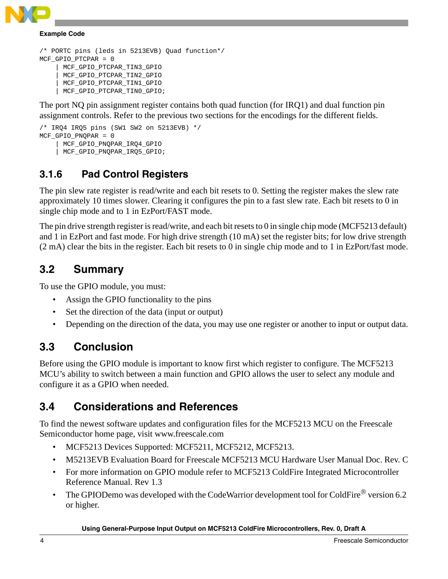

#### **Example Code**

```
/* PORTC pins (leds in 5213EVB) Quad function*/
MCF_GPIO_PTCPAR = 0 
     | MCF_GPIO_PTCPAR_TIN3_GPIO 
     | MCF_GPIO_PTCPAR_TIN2_GPIO
     | MCF_GPIO_PTCPAR_TIN1_GPIO
     | MCF_GPIO_PTCPAR_TIN0_GPIO;
```
The port NQ pin assignment register contains both quad function (for IRQ1) and dual function pin assignment controls. Refer to the previous two sections for the encodings for the different fields.

```
/* IRQ4 IRQ5 pins (SW1 SW2 on 5213EVB) */ 
MCF GPIO PNOPAR = 0
     | MCF_GPIO_PNQPAR_IRQ4_GPIO
     | MCF_GPIO_PNQPAR_IRQ5_GPIO;
```
### **3.1.6 Pad Control Registers**

The pin slew rate register is read/write and each bit resets to 0. Setting the register makes the slew rate approximately 10 times slower. Clearing it configures the pin to a fast slew rate. Each bit resets to 0 in single chip mode and to 1 in EzPort/FAST mode.

The pin drive strength register is read/write, and each bit resets to 0 in single chip mode (MCF5213 default) and 1 in EzPort and fast mode. For high drive strength (10 mA) set the register bits; for low drive strength (2 mA) clear the bits in the register. Each bit resets to 0 in single chip mode and to 1 in EzPort/fast mode.

### <span id="page-3-0"></span>**3.2 Summary**

To use the GPIO module, you must:

- Assign the GPIO functionality to the pins
- Set the direction of the data (input or output)
- Depending on the direction of the data, you may use one register or another to input or output data.

## <span id="page-3-1"></span>**3.3 Conclusion**

Before using the GPIO module is important to know first which register to configure. The MCF5213 MCU's ability to switch between a main function and GPIO allows the user to select any module and configure it as a GPIO when needed.

## <span id="page-3-2"></span>**3.4 Considerations and References**

To find the newest software updates and configuration files for the MCF5213 MCU on the Freescale Semiconductor home page, visit www.freescale.com

- MCF5213 Devices Supported: MCF5211, MCF5212, MCF5213.
- M5213EVB Evaluation Board for Freescale MCF5213 MCU Hardware User Manual Doc. Rev. C
- For more information on GPIO module refer to MCF5213 ColdFire Integrated Microcontroller Reference Manual. Rev 1.3
- The GPIODemo was developed with the CodeWarrior development tool for ColdFire® version 6.2 or higher.

#### **Using General-Purpose Input Output on MCF5213 ColdFire Microcontrollers, Rev. 0, Draft A**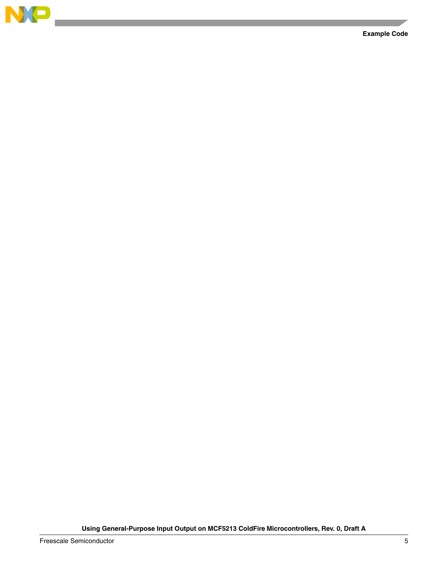

 $\overline{\phantom{a}}$ 

**Example Code**

**Using General-Purpose Input Output on MCF5213 ColdFire Microcontrollers, Rev. 0, Draft A**